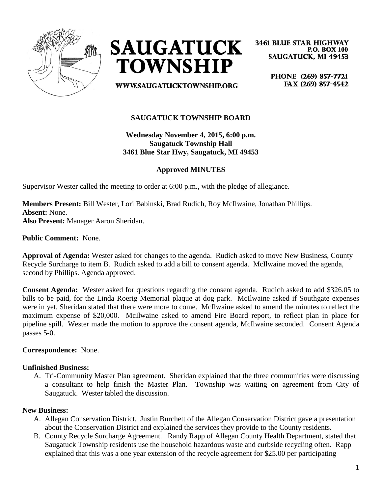



**3461 BLUE STAR HIGHWAY P.O. BOX 100 SAUGATUCK, MI 49453** 

**WWW.SAUGATUCKTOWNSHIP.ORG** 

PHONE (269) 857-7721 FAX (269) 857-4542

### **SAUGATUCK TOWNSHIP BOARD**

**Wednesday November 4, 2015, 6:00 p.m. Saugatuck Township Hall 3461 Blue Star Hwy, Saugatuck, MI 49453**

### **Approved MINUTES**

Supervisor Wester called the meeting to order at 6:00 p.m., with the pledge of allegiance.

**Members Present:** Bill Wester, Lori Babinski, Brad Rudich, Roy McIlwaine, Jonathan Phillips. **Absent:** None. **Also Present:** Manager Aaron Sheridan.

**Public Comment:** None.

**Approval of Agenda:** Wester asked for changes to the agenda. Rudich asked to move New Business, County Recycle Surcharge to item B. Rudich asked to add a bill to consent agenda. McIlwaine moved the agenda, second by Phillips. Agenda approved.

**Consent Agenda:** Wester asked for questions regarding the consent agenda. Rudich asked to add \$326.05 to bills to be paid, for the Linda Roerig Memorial plaque at dog park. McIlwaine asked if Southgate expenses were in yet, Sheridan stated that there were more to come. McIlwaine asked to amend the minutes to reflect the maximum expense of \$20,000. McIlwaine asked to amend Fire Board report, to reflect plan in place for pipeline spill. Wester made the motion to approve the consent agenda, McIlwaine seconded. Consent Agenda passes 5-0.

#### **Correspondence:** None.

#### **Unfinished Business:**

A. Tri-Community Master Plan agreement. Sheridan explained that the three communities were discussing a consultant to help finish the Master Plan. Township was waiting on agreement from City of Saugatuck. Wester tabled the discussion.

#### **New Business:**

- A. Allegan Conservation District. Justin Burchett of the Allegan Conservation District gave a presentation about the Conservation District and explained the services they provide to the County residents.
- B. County Recycle Surcharge Agreement. Randy Rapp of Allegan County Health Department, stated that Saugatuck Township residents use the household hazardous waste and curbside recycling often. Rapp explained that this was a one year extension of the recycle agreement for \$25.00 per participating